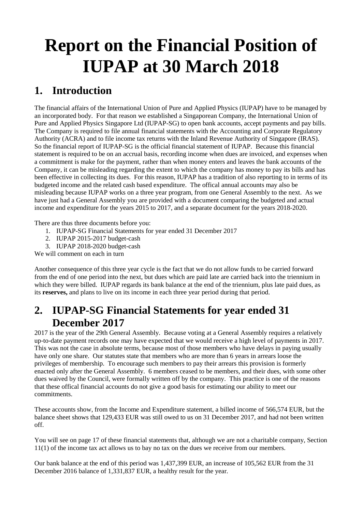# **Report on the Financial Position of IUPAP at 30 March 2018**

### **1. Introduction**

The financial affairs of the International Union of Pure and Applied Physics (IUPAP) have to be managed by an incorporated body. For that reason we established a Singaporean Company, the International Union of Pure and Applied Physics Singapore Ltd (IUPAP-SG) to open bank accounts, accept payments and pay bills. The Company is required to file annual financial statements with the Accounting and Corporate Regulatory Authority (ACRA) and to file income tax returns with the Inland Revenue Authority of Singapore (IRAS). So the financial report of IUPAP-SG is the official financial statement of IUPAP. Because this financial statement is required to be on an accrual basis, recording income when dues are invoiced, and expenses when a commitment is make for the payment, rather than when money enters and leaves the bank accounts of the Company, it can be misleading regarding the extent to which the company has money to pay its bills and has been effective in collecting its dues. For this reason, IUPAP has a tradition of also reporting to in terms of its budgeted income and the related cash based expenditure. The offical annual accounts may also be misleading because IUPAP works on a three year program, from one General Assembly to the next. As we have just had a General Assembly you are provided with a document comparing the budgeted and actual income and expenditure for the years 2015 to 2017, and a separate document for the years 2018-2020.

There are thus three documents before you:

- 1. IUPAP-SG Financial Statements for year ended 31 December 2017
- 2. IUPAP 2015-2017 budget-cash
- 3. IUPAP 2018-2020 budget-cash

We will comment on each in turn

Another consequence of this three year cycle is the fact that we do not allow funds to be carried forward from the end of one period into the next, but dues which are paid late are carried back into the triennium in which they were billed. IUPAP regards its bank balance at the end of the triennium, plus late paid dues, as its **reserves,** and plans to live on its income in each three year period during that period.

#### **2. IUPAP-SG Financial Statements for year ended 31 December 2017**

2017 is the year of the 29th General Assembly. Because voting at a General Assembly requires a relatively up-to-date payment records one may have expected that we would receive a high level of payments in 2017. This was not the case in absolute terms, because most of those members who have delays in paying usually have only one share. Our statutes state that members who are more than 6 years in arrears loose the privileges of membership. To encourage such members to pay their arrears this provision is formerly enacted only after the General Assembly. 6 members ceased to be members, and their dues, with some other dues waived by the Council, were formally written off by the company. This practice is one of the reasons that these offical financial accounts do not give a good basis for estimating our ability to meet our commitments.

These accounts show, from the Income and Expenditure statement, a billed income of 566,574 EUR, but the balance sheet shows that 129,433 EUR was still owed to us on 31 December 2017, and had not been written off.

You will see on page 17 of these financial statements that, although we are not a charitable company, Section 11(1) of the income tax act allows us to bay no tax on the dues we receive from our members.

Our bank balance at the end of this period was 1,437,399 EUR, an increase of 105,562 EUR from the 31 December 2016 balance of 1,331,837 EUR, a healthy result for the year.